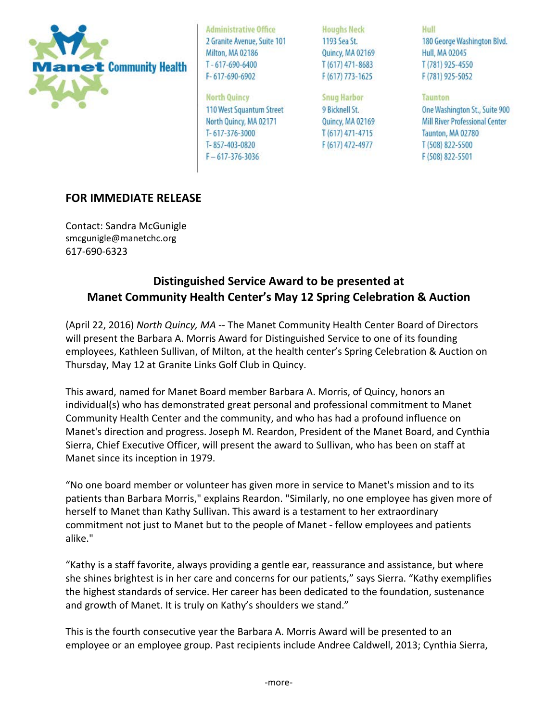

**Administrative Office** 2 Granite Avenue, Suite 101 Milton, MA 02186  $T - 617 - 690 - 6400$  $F - 617 - 690 - 6902$ 

**North Quincy** 110 West Squantum Street North Quincy, MA 02171 T-617-376-3000 T-857-403-0820  $F - 617 - 376 - 3036$ 

**Houghs Neck** 1193 Sea St. Quincy, MA 02169  $T(617)$  471-8683 F (617) 773-1625

**Snug Harbor** 9 Bicknell St. Quincy, MA 02169  $T(617)$  471-4715 F (617) 472-4977

Hull 180 George Washington Blvd. **Hull, MA 02045** T (781) 925-4550 F (781) 925-5052

**Taunton** One Washington St., Suite 900 Mill River Professional Center Taunton, MA 02780 T (508) 822-5500 F (508) 822-5501

## **FOR IMMEDIATE RELEASE**

Contact: Sandra McGunigle smcgunigle@manetchc.org 617-690-6323

## **Distinguished Service Award to be presented at Manet Community Health Center's May 12 Spring Celebration & Auction**

(April 22, 2016) *North Quincy, MA --* The Manet Community Health Center Board of Directors will present the Barbara A. Morris Award for Distinguished Service to one of its founding employees, Kathleen Sullivan, of Milton, at the health center's Spring Celebration & Auction on Thursday, May 12 at Granite Links Golf Club in Quincy.

This award, named for Manet Board member Barbara A. Morris, of Quincy, honors an individual(s) who has demonstrated great personal and professional commitment to Manet Community Health Center and the community, and who has had a profound influence on Manet's direction and progress. Joseph M. Reardon, President of the Manet Board, and Cynthia Sierra, Chief Executive Officer, will present the award to Sullivan, who has been on staff at Manet since its inception in 1979.

"No one board member or volunteer has given more in service to Manet's mission and to its patients than Barbara Morris," explains Reardon. "Similarly, no one employee has given more of herself to Manet than Kathy Sullivan. This award is a testament to her extraordinary commitment not just to Manet but to the people of Manet - fellow employees and patients alike."

"Kathy is a staff favorite, always providing a gentle ear, reassurance and assistance, but where she shines brightest is in her care and concerns for our patients," says Sierra. "Kathy exemplifies the highest standards of service. Her career has been dedicated to the foundation, sustenance and growth of Manet. It is truly on Kathy's shoulders we stand."

This is the fourth consecutive year the Barbara A. Morris Award will be presented to an employee or an employee group. Past recipients include Andree Caldwell, 2013; Cynthia Sierra,